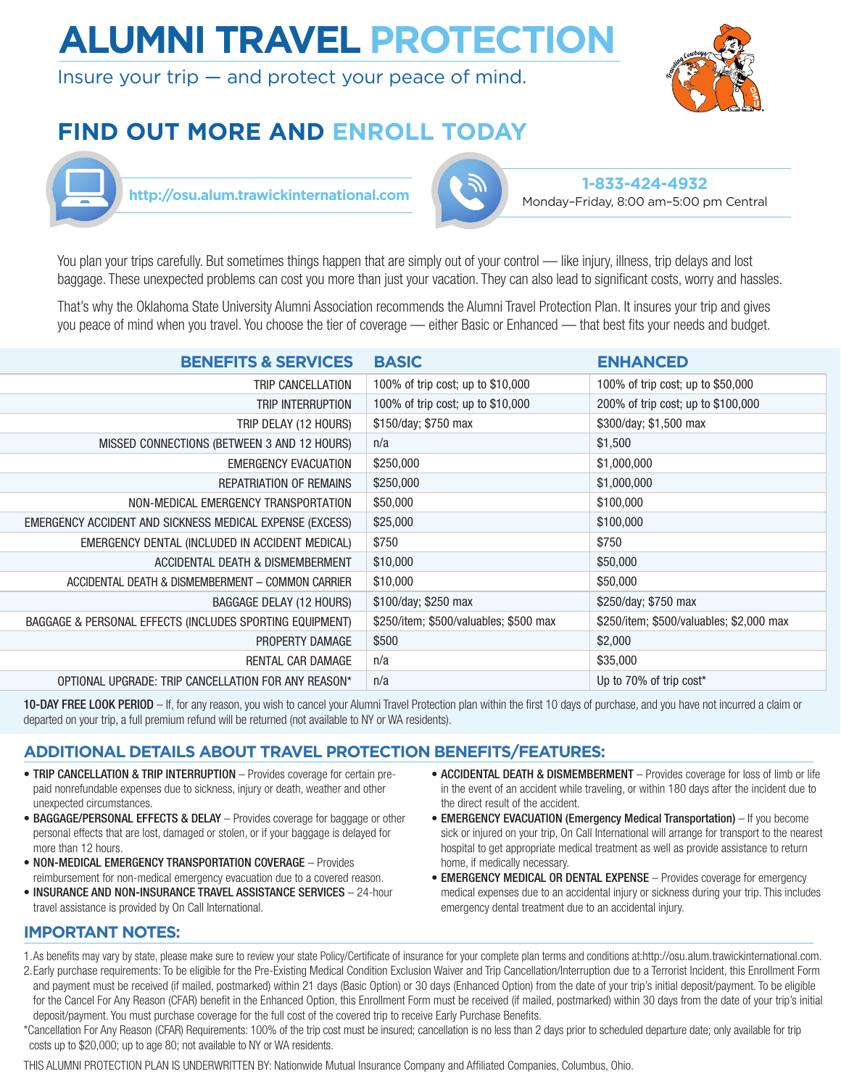# **ALUMNI TRAVEL PROTECTION**

Insure your trip  $-$  and protect your peace of mind.



# **FIND OUT MORE AND ENROLL TODAY**





**1-833-424-4932** http://osu.alum.trawickinternational.com<br>Monday–Friday, 8:00 am–5:00 pm Central

You plan your trips carefully. But sometimes things happen that are simply out of your control — like injury, illness, trip delays and lost baggage. These unexpected problems can cost you more than just your vacation. They can also lead to significant costs, worry and hassles.

That's why the Oklahoma State University Alumni Association recommends the Alumni Travel Protection Plan. It insures your trip and gives you peace of mind when you travel. You choose the tier of coverage — either Basic or Enhanced — that best fits your needs and budget.

| <b>BENEFITS &amp; SERVICES</b>                           | <b>BASIC</b>                           | <b>ENHANCED</b>                          |
|----------------------------------------------------------|----------------------------------------|------------------------------------------|
| TRIP CANCELLATION                                        | 100% of trip cost; up to \$10,000      | 100% of trip cost; up to \$50,000        |
| TRIP INTERRUPTION                                        | 100% of trip cost; up to \$10,000      | 200% of trip cost; up to \$100,000       |
| TRIP DELAY (12 HOURS)                                    | \$150/day; \$750 max                   | \$300/day; \$1,500 max                   |
| MISSED CONNECTIONS (BETWEEN 3 AND 12 HOURS)              | n/a                                    | \$1,500                                  |
| <b>EMERGENCY EVACUATION</b>                              | \$250,000                              | \$1,000,000                              |
| <b>REPATRIATION OF REMAINS</b>                           | \$250,000                              | \$1,000,000                              |
| NON-MEDICAL EMERGENCY TRANSPORTATION                     | \$50,000                               | \$100,000                                |
| EMERGENCY ACCIDENT AND SICKNESS MEDICAL EXPENSE (EXCESS) | \$25,000                               | \$100,000                                |
| EMERGENCY DENTAL (INCLUDED IN ACCIDENT MEDICAL)          | \$750                                  | \$750                                    |
| ACCIDENTAL DEATH & DISMEMBERMENT                         | \$10,000                               | \$50,000                                 |
| ACCIDENTAL DEATH & DISMEMBERMENT - COMMON CARRIER        | \$10,000                               | \$50,000                                 |
| BAGGAGE DELAY (12 HOURS)                                 | \$100/day; \$250 max                   | \$250/day; \$750 max                     |
| BAGGAGE & PERSONAL EFFECTS (INCLUDES SPORTING EQUIPMENT) | \$250/item; \$500/valuables; \$500 max | \$250/item; \$500/valuables; \$2,000 max |
| PROPERTY DAMAGE                                          | \$500                                  | \$2,000                                  |
| RENTAL CAR DAMAGE                                        | n/a                                    | \$35,000                                 |
| OPTIONAL UPGRADE: TRIP CANCELLATION FOR ANY REASON*      | n/a                                    | Up to 70% of trip cost*                  |

10-DAY FREE LOOK PERIOD – If, for any reason, you wish to cancel your Alumni Travel Protection plan within the first 10 days of purchase, and you have not incurred a claim or departed on your trip, a full premium refund will be returned (not available to NY or WA residents).

# **ADDITIONAL DETAILS ABOUT TRAVEL PROTECTION BENEFITS/FEATURES:**

- TRIP CANCELLATION & TRIP INTERRUPTION Provides coverage for certain prepaid nonrefundable expenses due to sickness, injury or death, weather and other unexpected circumstances.
- BAGGAGE/PERSONAL EFFECTS & DELAY Provides coverage for baggage or other personal effects that are lost, damaged or stolen, or if your baggage is delayed for more than 12 hours.
- NON-MEDICAL EMERGENCY TRANSPORTATION COVERAGE Provides reimbursement for non-medical emergency evacuation due to a covered reason.
- INSURANCE AND NON-INSURANCE TRAVEL ASSISTANCE SERVICES 24-hour travel assistance is provided by On Call International.
- ACCIDENTAL DEATH & DISMEMBERMENT Provides coverage for loss of limb or life in the event of an accident while traveling, or within 180 days after the incident due to the direct result of the accident.
- EMERGENCY EVACUATION (Emergency Medical Transportation) If you become sick or injured on your trip, On Call International will arrange for transport to the nearest hospital to get appropriate medical treatment as well as provide assistance to return home, if medically necessary.
- **EMERGENCY MEDICAL OR DENTAL EXPENSE** Provides coverage for emergency medical expenses due to an accidental injury or sickness during your trip. This includes emergency dental treatment due to an accidental injury.

## **IMPORTANT NOTES:**

- 1.As benefits may vary by state, please make sure to review your state Policy/Certificate of insurance for your complete plan terms and conditions at:http://osu.alum.trawickinternational.com.
- 2.Early purchase requirements: To be eligible for the Pre-Existing Medical Condition Exclusion Waiver and Trip Cancellation/Interruption due to a Terrorist Incident, this Enrollment Form and payment must be received (if mailed, postmarked) within 21 days (Basic Option) or 30 days (Enhanced Option) from the date of your trip's initial deposit/payment. To be eligible for the Cancel For Any Reason (CFAR) benefit in the Enhanced Option, this Enrollment Form must be received (if mailed, postmarked) within 30 days from the date of your trip's initial deposit/payment. You must purchase coverage for the full cost of the covered trip to receive Early Purchase Benefits.
- \*Cancellation For Any Reason (CFAR) Requirements: 100% of the trip cost must be insured; cancellation is no less than 2 days prior to scheduled departure date; only available for trip costs up to \$20,000; up to age 80; not available to NY or WA residents.

THIS ALUMNI PROTECTION PLAN IS UNDERWRITTEN BY: Nationwide Mutual Insurance Company and Affiliated Companies, Columbus, Ohio.